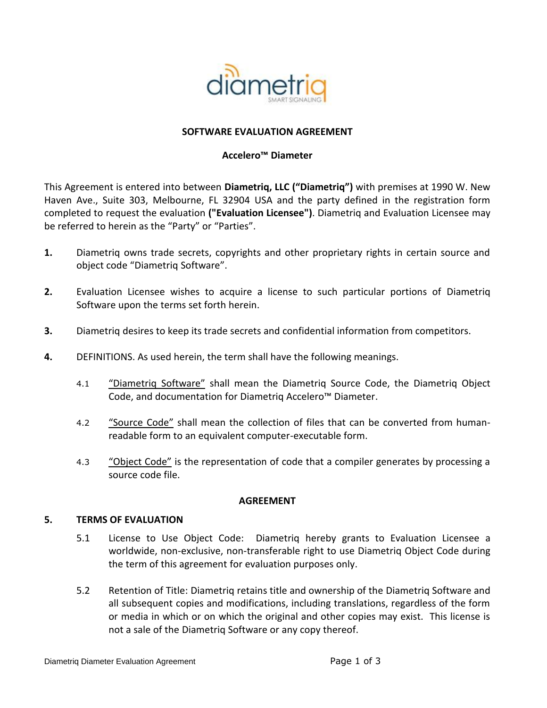

#### **SOFTWARE EVALUATION AGREEMENT**

### **Accelero™ Diameter**

This Agreement is entered into between **Diametriq, LLC ("Diametriq")** with premises at 1990 W. New Haven Ave., Suite 303, Melbourne, FL 32904 USA and the party defined in the registration form completed to request the evaluation **("Evaluation Licensee")**. Diametriq and Evaluation Licensee may be referred to herein as the "Party" or "Parties".

- **1.** Diametriq owns trade secrets, copyrights and other proprietary rights in certain source and object code "Diametriq Software".
- **2.** Evaluation Licensee wishes to acquire a license to such particular portions of Diametriq Software upon the terms set forth herein.
- **3.** Diametriq desires to keep its trade secrets and confidential information from competitors.
- **4.** DEFINITIONS. As used herein, the term shall have the following meanings.
	- 4.1 "Diametrig Software" shall mean the Diametrig Source Code, the Diametrig Object Code, and documentation for Diametriq Accelero™ Diameter.
	- 4.2 "Source Code" shall mean the collection of files that can be converted from humanreadable form to an equivalent computer-executable form.
	- 4.3 "Object Code" is the representation of code that a compiler generates by processing a source code file.

#### **AGREEMENT**

#### **5. TERMS OF EVALUATION**

- 5.1 License to Use Object Code: Diametriq hereby grants to Evaluation Licensee a worldwide, non-exclusive, non-transferable right to use Diametriq Object Code during the term of this agreement for evaluation purposes only.
- 5.2 Retention of Title: Diametriq retains title and ownership of the Diametriq Software and all subsequent copies and modifications, including translations, regardless of the form or media in which or on which the original and other copies may exist. This license is not a sale of the Diametriq Software or any copy thereof.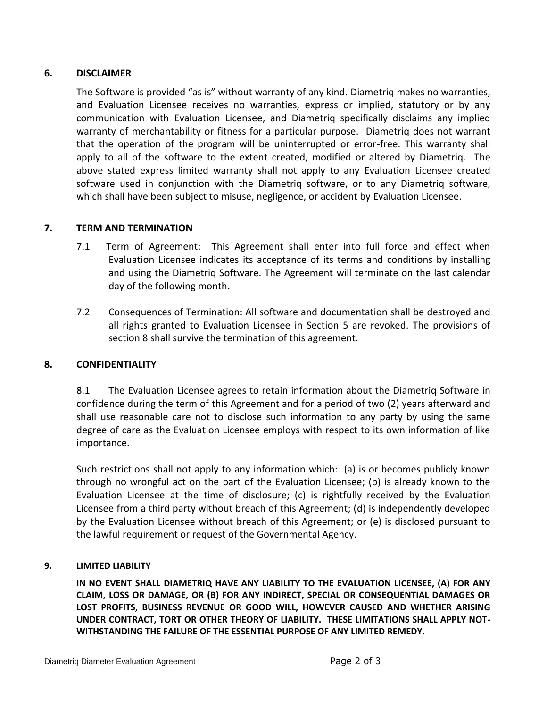# **6. DISCLAIMER**

The Software is provided "as is" without warranty of any kind. Diametriq makes no warranties, and Evaluation Licensee receives no warranties, express or implied, statutory or by any communication with Evaluation Licensee, and Diametriq specifically disclaims any implied warranty of merchantability or fitness for a particular purpose. Diametriq does not warrant that the operation of the program will be uninterrupted or error-free. This warranty shall apply to all of the software to the extent created, modified or altered by Diametriq. The above stated express limited warranty shall not apply to any Evaluation Licensee created software used in conjunction with the Diametriq software, or to any Diametriq software, which shall have been subject to misuse, negligence, or accident by Evaluation Licensee.

# **7. TERM AND TERMINATION**

- 7.1 Term of Agreement: This Agreement shall enter into full force and effect when Evaluation Licensee indicates its acceptance of its terms and conditions by installing and using the Diametriq Software. The Agreement will terminate on the last calendar day of the following month.
- 7.2 Consequences of Termination: All software and documentation shall be destroyed and all rights granted to Evaluation Licensee in Section 5 are revoked. The provisions of section 8 shall survive the termination of this agreement.

## **8. CONFIDENTIALITY**

8.1 The Evaluation Licensee agrees to retain information about the Diametriq Software in confidence during the term of this Agreement and for a period of two (2) years afterward and shall use reasonable care not to disclose such information to any party by using the same degree of care as the Evaluation Licensee employs with respect to its own information of like importance.

Such restrictions shall not apply to any information which: (a) is or becomes publicly known through no wrongful act on the part of the Evaluation Licensee; (b) is already known to the Evaluation Licensee at the time of disclosure; (c) is rightfully received by the Evaluation Licensee from a third party without breach of this Agreement; (d) is independently developed by the Evaluation Licensee without breach of this Agreement; or (e) is disclosed pursuant to the lawful requirement or request of the Governmental Agency.

## **9. LIMITED LIABILITY**

**IN NO EVENT SHALL DIAMETRIQ HAVE ANY LIABILITY TO THE EVALUATION LICENSEE, (A) FOR ANY CLAIM, LOSS OR DAMAGE, OR (B) FOR ANY INDIRECT, SPECIAL OR CONSEQUENTIAL DAMAGES OR LOST PROFITS, BUSINESS REVENUE OR GOOD WILL, HOWEVER CAUSED AND WHETHER ARISING UNDER CONTRACT, TORT OR OTHER THEORY OF LIABILITY. THESE LIMITATIONS SHALL APPLY NOT-WITHSTANDING THE FAILURE OF THE ESSENTIAL PURPOSE OF ANY LIMITED REMEDY.**